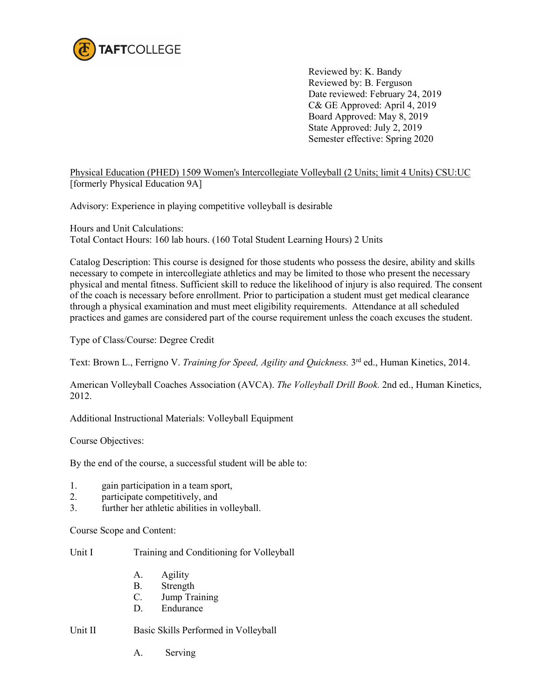

Reviewed by: K. Bandy Reviewed by: B. Ferguson Date reviewed: February 24, 2019 C& GE Approved: April 4, 2019 Board Approved: May 8, 2019 State Approved: July 2, 2019 Semester effective: Spring 2020

Physical Education (PHED) 1509 Women's Intercollegiate Volleyball (2 Units; limit 4 Units) CSU:UC [formerly Physical Education 9A]

Advisory: Experience in playing competitive volleyball is desirable

Hours and Unit Calculations: Total Contact Hours: 160 lab hours. (160 Total Student Learning Hours) 2 Units

Catalog Description: This course is designed for those students who possess the desire, ability and skills necessary to compete in intercollegiate athletics and may be limited to those who present the necessary physical and mental fitness. Sufficient skill to reduce the likelihood of injury is also required. The consent of the coach is necessary before enrollment. Prior to participation a student must get medical clearance through a physical examination and must meet eligibility requirements. Attendance at all scheduled practices and games are considered part of the course requirement unless the coach excuses the student.

Type of Class/Course: Degree Credit

Text: Brown L., Ferrigno V. *Training for Speed, Agility and Quickness*. 3<sup>rd</sup> ed., Human Kinetics, 2014.

American Volleyball Coaches Association (AVCA). *The Volleyball Drill Book.* 2nd ed., Human Kinetics, 2012.

Additional Instructional Materials: Volleyball Equipment

Course Objectives:

By the end of the course, a successful student will be able to:

- 1. gain participation in a team sport,
- 2. participate competitively, and
- 3. further her athletic abilities in volleyball.

Course Scope and Content:

Unit I Training and Conditioning for Volleyball

- A. Agility
- B. Strength
- C. Jump Training
- D. Endurance

Unit II Basic Skills Performed in Volleyball

A. Serving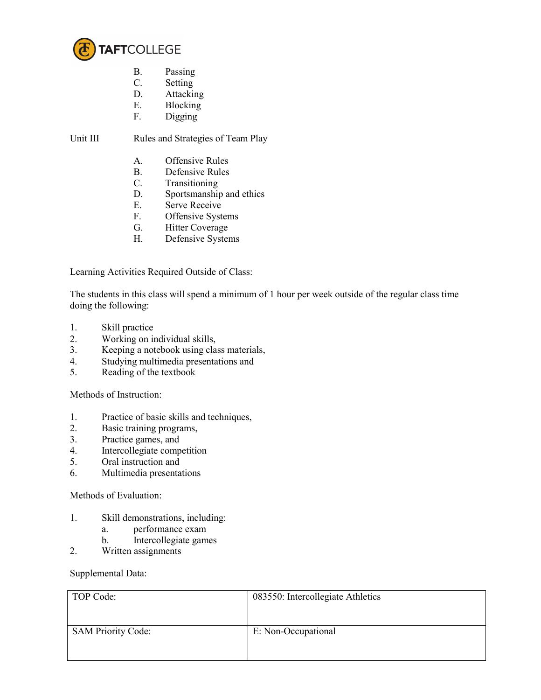

- B. Passing<br>C. Setting
- **Setting**
- D. Attacking
- E. Blocking<br>F. Digging
- Digging

Unit III Rules and Strategies of Team Play

- A. Offensive Rules
- B. Defensive Rules
- C. Transitioning
- D. Sportsmanship and ethics
- E. Serve Receive<br>F. Offensive Syst
- Offensive Systems
- G. Hitter Coverage
- H. Defensive Systems

Learning Activities Required Outside of Class:

The students in this class will spend a minimum of 1 hour per week outside of the regular class time doing the following:

- 1. Skill practice
- 2. Working on individual skills,<br>3. Keeping a notebook using cla
- 3. Keeping a notebook using class materials,
- 4. Studying multimedia presentations and
- 5. Reading of the textbook

Methods of Instruction:

- 1. Practice of basic skills and techniques,
- 2. Basic training programs,
- 3. Practice games, and
- 4. Intercollegiate competition<br>5. Oral instruction and
- 5. Oral instruction and
- 6. Multimedia presentations

## Methods of Evaluation:

- 1. Skill demonstrations, including:
	- a. performance exam
	- b. Intercollegiate games
- 2. Written assignments

## Supplemental Data:

| TOP Code:                 | 083550: Intercollegiate Athletics |
|---------------------------|-----------------------------------|
| <b>SAM Priority Code:</b> | E: Non-Occupational               |